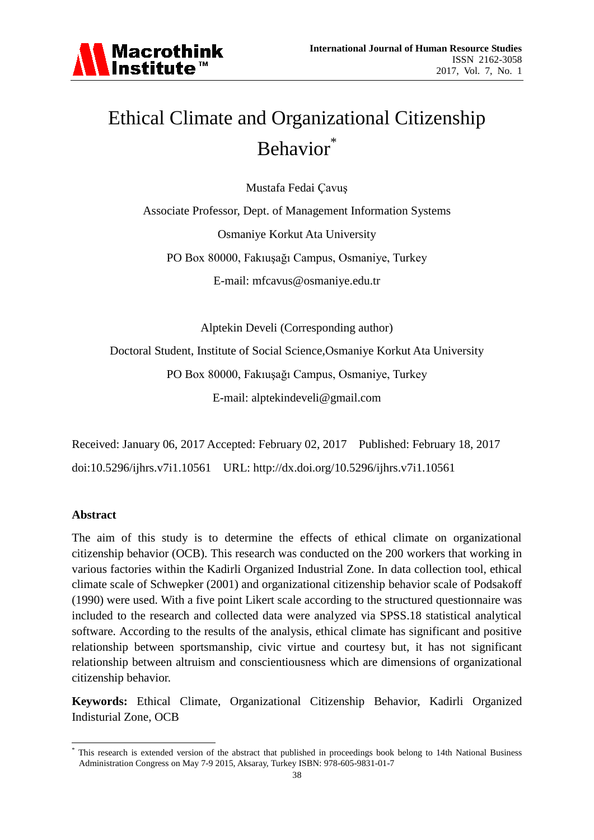

# Ethical Climate and Organizational Citizenship Behavior\*

Mustafa Fedai Çavuş

Associate Professor, Dept. of Management Information Systems Osmaniye Korkut Ata University PO Box 80000, Fakıuşağı Campus, Osmaniye, Turkey E-mail: mfcavus@osmaniye.edu.tr

Alptekin Develi (Corresponding author) Doctoral Student, Institute of Social Science,Osmaniye Korkut Ata University PO Box 80000, Fakıuşağı Campus, Osmaniye, Turkey E-mail: alptekindeveli@gmail.com

Received: January 06, 2017 Accepted: February 02, 2017 Published: February 18, 2017 doi:10.5296/ijhrs.v7i1.10561 URL: http://dx.doi.org/10.5296/ijhrs.v7i1.10561

## **Abstract**

The aim of this study is to determine the effects of ethical climate on organizational citizenship behavior (OCB). This research was conducted on the 200 workers that working in various factories within the Kadirli Organized Industrial Zone. In data collection tool, ethical climate scale of Schwepker (2001) and organizational citizenship behavior scale of Podsakoff (1990) were used. With a five point Likert scale according to the structured questionnaire was included to the research and collected data were analyzed via SPSS.18 statistical analytical software. According to the results of the analysis, ethical climate has significant and positive relationship between sportsmanship, civic virtue and courtesy but, it has not significant relationship between altruism and conscientiousness which are dimensions of organizational citizenship behavior.

**Keywords:** Ethical Climate, Organizational Citizenship Behavior, Kadirli Organized Indisturial Zone, OCB

<sup>-</sup>This research is extended version of the abstract that published in proceedings book belong to 14th National Business Administration Congress on May 7-9 2015, Aksaray, Turkey ISBN: 978-605-9831-01-7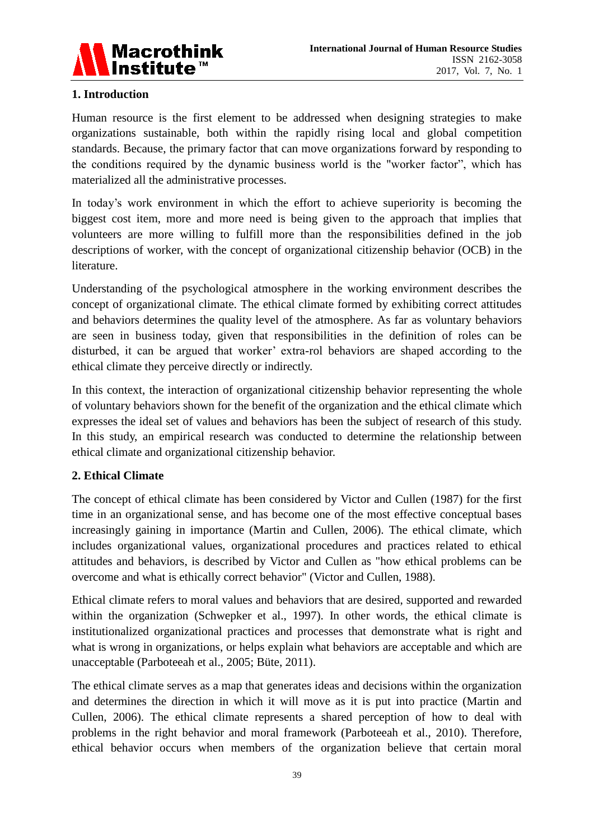

# **1. Introduction**

Human resource is the first element to be addressed when designing strategies to make organizations sustainable, both within the rapidly rising local and global competition standards. Because, the primary factor that can move organizations forward by responding to the conditions required by the dynamic business world is the "worker factor", which has materialized all the administrative processes.

In today's work environment in which the effort to achieve superiority is becoming the biggest cost item, more and more need is being given to the approach that implies that volunteers are more willing to fulfill more than the responsibilities defined in the job descriptions of worker, with the concept of organizational citizenship behavior (OCB) in the literature.

Understanding of the psychological atmosphere in the working environment describes the concept of organizational climate. The ethical climate formed by exhibiting correct attitudes and behaviors determines the quality level of the atmosphere. As far as voluntary behaviors are seen in business today, given that responsibilities in the definition of roles can be disturbed, it can be argued that worker' extra-rol behaviors are shaped according to the ethical climate they perceive directly or indirectly.

In this context, the interaction of organizational citizenship behavior representing the whole of voluntary behaviors shown for the benefit of the organization and the ethical climate which expresses the ideal set of values and behaviors has been the subject of research of this study. In this study, an empirical research was conducted to determine the relationship between ethical climate and organizational citizenship behavior.

## **2. Ethical Climate**

The concept of ethical climate has been considered by Victor and Cullen (1987) for the first time in an organizational sense, and has become one of the most effective conceptual bases increasingly gaining in importance (Martin and Cullen, 2006). The ethical climate, which includes organizational values, organizational procedures and practices related to ethical attitudes and behaviors, is described by Victor and Cullen as "how ethical problems can be overcome and what is ethically correct behavior" (Victor and Cullen, 1988).

Ethical climate refers to moral values and behaviors that are desired, supported and rewarded within the organization (Schwepker et al., 1997). In other words, the ethical climate is institutionalized organizational practices and processes that demonstrate what is right and what is wrong in organizations, or helps explain what behaviors are acceptable and which are unacceptable (Parboteeah et al., 2005; Büte, 2011).

The ethical climate serves as a map that generates ideas and decisions within the organization and determines the direction in which it will move as it is put into practice (Martin and Cullen, 2006). The ethical climate represents a shared perception of how to deal with problems in the right behavior and moral framework (Parboteeah et al., 2010). Therefore, ethical behavior occurs when members of the organization believe that certain moral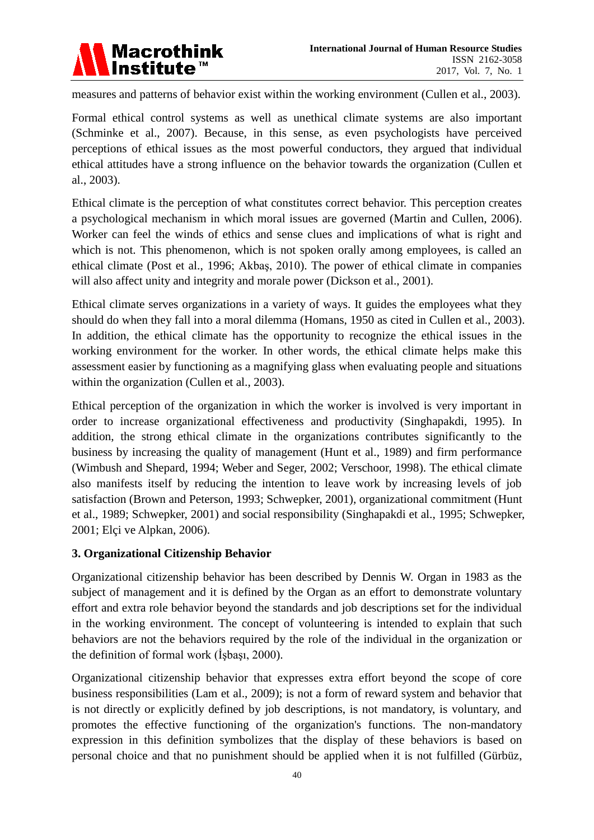

measures and patterns of behavior exist within the working environment (Cullen et al., 2003).

Formal ethical control systems as well as unethical climate systems are also important (Schminke et al., 2007). Because, in this sense, as even psychologists have perceived perceptions of ethical issues as the most powerful conductors, they argued that individual ethical attitudes have a strong influence on the behavior towards the organization (Cullen et al., 2003).

Ethical climate is the perception of what constitutes correct behavior. This perception creates a psychological mechanism in which moral issues are governed (Martin and Cullen, 2006). Worker can feel the winds of ethics and sense clues and implications of what is right and which is not. This phenomenon, which is not spoken orally among employees, is called an ethical climate (Post et al., 1996; Akbaş, 2010). The power of ethical climate in companies will also affect unity and integrity and morale power (Dickson et al., 2001).

Ethical climate serves organizations in a variety of ways. It guides the employees what they should do when they fall into a moral dilemma (Homans, 1950 as cited in Cullen et al., 2003). In addition, the ethical climate has the opportunity to recognize the ethical issues in the working environment for the worker. In other words, the ethical climate helps make this assessment easier by functioning as a magnifying glass when evaluating people and situations within the organization (Cullen et al., 2003).

Ethical perception of the organization in which the worker is involved is very important in order to increase organizational effectiveness and productivity (Singhapakdi, 1995). In addition, the strong ethical climate in the organizations contributes significantly to the business by increasing the quality of management (Hunt et al., 1989) and firm performance (Wimbush and Shepard, 1994; Weber and Seger, 2002; Verschoor, 1998). The ethical climate also manifests itself by reducing the intention to leave work by increasing levels of job satisfaction (Brown and Peterson, 1993; Schwepker, 2001), organizational commitment (Hunt et al., 1989; Schwepker, 2001) and social responsibility (Singhapakdi et al., 1995; Schwepker, 2001; Elçi ve Alpkan, 2006).

#### **3. Organizational Citizenship Behavior**

Organizational citizenship behavior has been described by Dennis W. Organ in 1983 as the subject of management and it is defined by the Organ as an effort to demonstrate voluntary effort and extra role behavior beyond the standards and job descriptions set for the individual in the working environment. The concept of volunteering is intended to explain that such behaviors are not the behaviors required by the role of the individual in the organization or the definition of formal work (İşbaşı, 2000).

Organizational citizenship behavior that expresses extra effort beyond the scope of core business responsibilities (Lam et al., 2009); is not a form of reward system and behavior that is not directly or explicitly defined by job descriptions, is not mandatory, is voluntary, and promotes the effective functioning of the organization's functions. The non-mandatory expression in this definition symbolizes that the display of these behaviors is based on personal choice and that no punishment should be applied when it is not fulfilled (Gürbüz,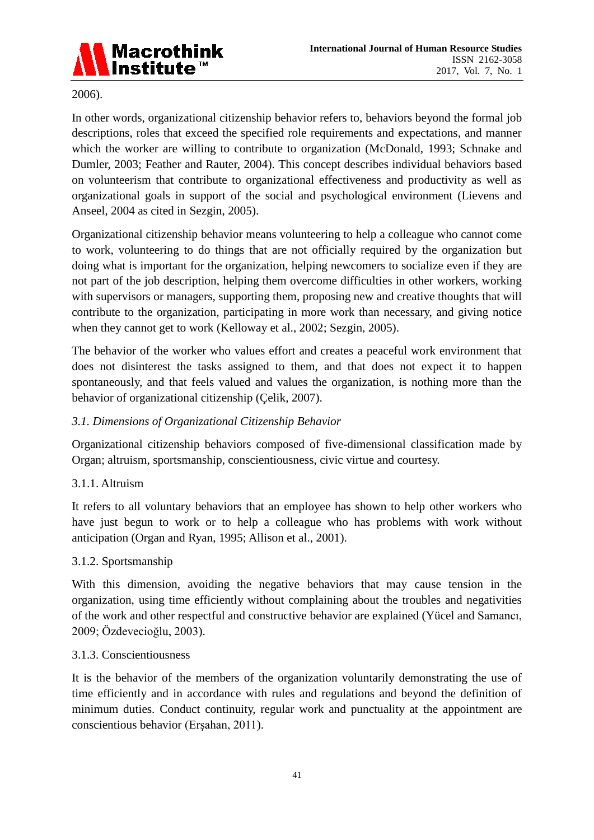

2006).

In other words, organizational citizenship behavior refers to, behaviors beyond the formal job descriptions, roles that exceed the specified role requirements and expectations, and manner which the worker are willing to contribute to organization (McDonald, 1993; Schnake and Dumler, 2003; Feather and Rauter, 2004). This concept describes individual behaviors based on volunteerism that contribute to organizational effectiveness and productivity as well as organizational goals in support of the social and psychological environment (Lievens and Anseel, 2004 as cited in Sezgin, 2005).

Organizational citizenship behavior means volunteering to help a colleague who cannot come to work, volunteering to do things that are not officially required by the organization but doing what is important for the organization, helping newcomers to socialize even if they are not part of the job description, helping them overcome difficulties in other workers, working with supervisors or managers, supporting them, proposing new and creative thoughts that will contribute to the organization, participating in more work than necessary, and giving notice when they cannot get to work (Kelloway et al., 2002; Sezgin, 2005).

The behavior of the worker who values effort and creates a peaceful work environment that does not disinterest the tasks assigned to them, and that does not expect it to happen spontaneously, and that feels valued and values the organization, is nothing more than the behavior of organizational citizenship (Çelik, 2007).

# *3.1. Dimensions of Organizational Citizenship Behavior*

Organizational citizenship behaviors composed of five-dimensional classification made by Organ; altruism, sportsmanship, conscientiousness, civic virtue and courtesy.

## 3.1.1. Altruism

It refers to all voluntary behaviors that an employee has shown to help other workers who have just begun to work or to help a colleague who has problems with work without anticipation (Organ and Ryan, 1995; Allison et al., 2001).

## 3.1.2. Sportsmanship

With this dimension, avoiding the negative behaviors that may cause tension in the organization, using time efficiently without complaining about the troubles and negativities of the work and other respectful and constructive behavior are explained (Yücel and Samancı, 2009; Özdevecioğlu, 2003).

## 3.1.3. Conscientiousness

It is the behavior of the members of the organization voluntarily demonstrating the use of time efficiently and in accordance with rules and regulations and beyond the definition of minimum duties. Conduct continuity, regular work and punctuality at the appointment are conscientious behavior (Erşahan, 2011).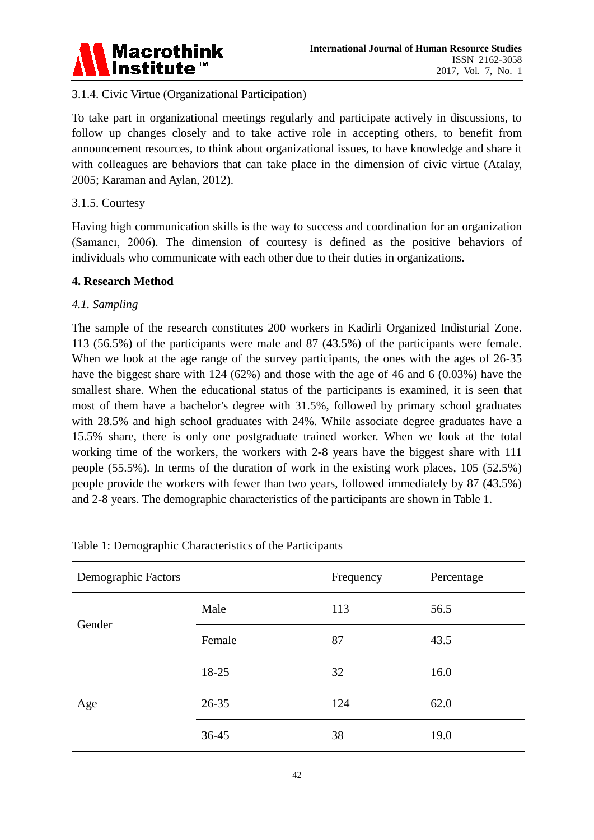

# 3.1.4. Civic Virtue (Organizational Participation)

To take part in organizational meetings regularly and participate actively in discussions, to follow up changes closely and to take active role in accepting others, to benefit from announcement resources, to think about organizational issues, to have knowledge and share it with colleagues are behaviors that can take place in the dimension of civic virtue (Atalay, 2005; Karaman and Aylan, 2012).

## 3.1.5. Courtesy

Having high communication skills is the way to success and coordination for an organization (Samancı, 2006). The dimension of courtesy is defined as the positive behaviors of individuals who communicate with each other due to their duties in organizations.

## **4. Research Method**

## *4.1. Sampling*

The sample of the research constitutes 200 workers in Kadirli Organized Indisturial Zone. 113 (56.5%) of the participants were male and 87 (43.5%) of the participants were female. When we look at the age range of the survey participants, the ones with the ages of 26-35 have the biggest share with 124 (62%) and those with the age of 46 and 6 (0.03%) have the smallest share. When the educational status of the participants is examined, it is seen that most of them have a bachelor's degree with 31.5%, followed by primary school graduates with 28.5% and high school graduates with 24%. While associate degree graduates have a 15.5% share, there is only one postgraduate trained worker. When we look at the total working time of the workers, the workers with 2-8 years have the biggest share with 111 people (55.5%). In terms of the duration of work in the existing work places, 105 (52.5%) people provide the workers with fewer than two years, followed immediately by 87 (43.5%) and 2-8 years. The demographic characteristics of the participants are shown in Table 1.

| Demographic Factors |           | Frequency | Percentage |  |
|---------------------|-----------|-----------|------------|--|
| Gender              | Male      | 113       | 56.5       |  |
|                     | Female    | 87        | 43.5       |  |
|                     | 18-25     | 32        | 16.0       |  |
| Age                 | $26 - 35$ | 124       | 62.0       |  |
|                     | 36-45     | 38        | 19.0       |  |

Table 1: Demographic Characteristics of the Participants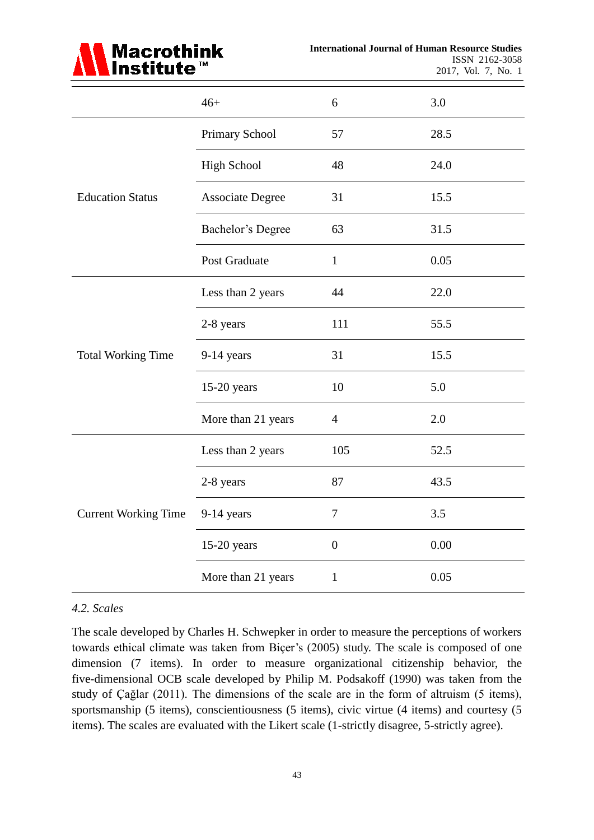

|                             | $46+$                   | 6                | 3.0  |
|-----------------------------|-------------------------|------------------|------|
| <b>Education Status</b>     | Primary School          | 57               | 28.5 |
|                             | <b>High School</b>      | 48               | 24.0 |
|                             | <b>Associate Degree</b> | 31               | 15.5 |
|                             | Bachelor's Degree       | 63               | 31.5 |
|                             | Post Graduate           | $\mathbf{1}$     | 0.05 |
| <b>Total Working Time</b>   | Less than 2 years       | 44               | 22.0 |
|                             | 2-8 years               | 111              | 55.5 |
|                             | 9-14 years              | 31               | 15.5 |
|                             | $15-20$ years           | 10               | 5.0  |
|                             | More than 21 years      | $\overline{4}$   | 2.0  |
| <b>Current Working Time</b> | Less than 2 years       | 105              | 52.5 |
|                             | 2-8 years               | 87               | 43.5 |
|                             | 9-14 years              | $\tau$           | 3.5  |
|                             | $15-20$ years           | $\boldsymbol{0}$ | 0.00 |
|                             | More than 21 years      | $\mathbf{1}$     | 0.05 |

#### *4.2. Scales*

The scale developed by Charles H. Schwepker in order to measure the perceptions of workers towards ethical climate was taken from Biçer's (2005) study. The scale is composed of one dimension (7 items). In order to measure organizational citizenship behavior, the five-dimensional OCB scale developed by Philip M. Podsakoff (1990) was taken from the study of Çağlar (2011). The dimensions of the scale are in the form of altruism (5 items), sportsmanship (5 items), conscientiousness (5 items), civic virtue (4 items) and courtesy (5 items). The scales are evaluated with the Likert scale (1-strictly disagree, 5-strictly agree).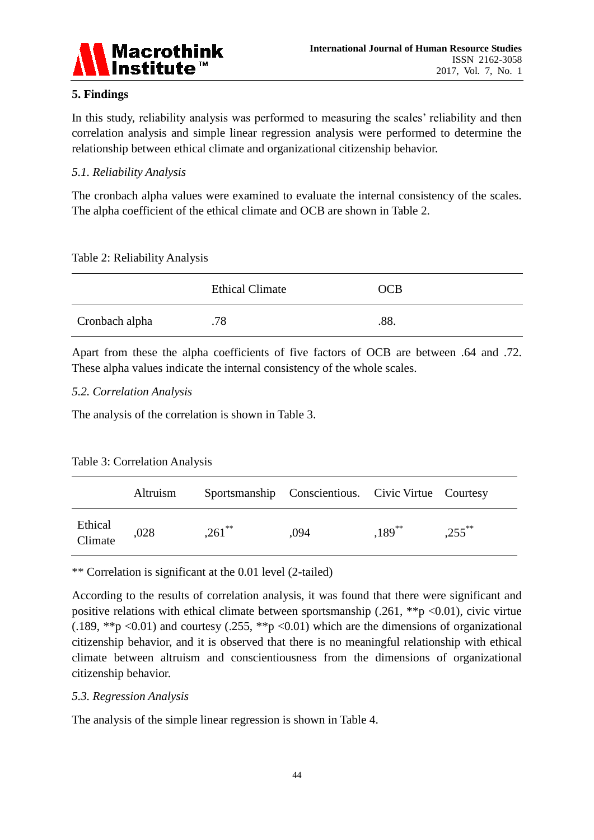

# **5. Findings**

In this study, reliability analysis was performed to measuring the scales' reliability and then correlation analysis and simple linear regression analysis were performed to determine the relationship between ethical climate and organizational citizenship behavior.

# *5.1. Reliability Analysis*

The cronbach alpha values were examined to evaluate the internal consistency of the scales. The alpha coefficient of the ethical climate and OCB are shown in Table 2.

## Table 2: Reliability Analysis

|                | <b>Ethical Climate</b> | <b>OCB</b> |
|----------------|------------------------|------------|
| Cronbach alpha | .78                    | .88.       |

Apart from these the alpha coefficients of five factors of OCB are between .64 and .72. These alpha values indicate the internal consistency of the whole scales.

## *5.2. Correlation Analysis*

The analysis of the correlation is shown in Table 3.

#### Table 3: Correlation Analysis

|                    | Altruism | Sportsmanship Conscientious. Civic Virtue Courtesy |      |           |            |  |
|--------------------|----------|----------------------------------------------------|------|-----------|------------|--|
| Ethical<br>Climate | ,028     | ${,}261$ **                                        | .094 | $.189***$ | $0.255$ ** |  |

\*\* Correlation is significant at the 0.01 level (2-tailed)

According to the results of correlation analysis, it was found that there were significant and positive relations with ethical climate between sportsmanship  $(.261, **p < 0.01)$ , civic virtue  $(.189, **p < 0.01)$  and courtesy  $(.255, **p < 0.01)$  which are the dimensions of organizational citizenship behavior, and it is observed that there is no meaningful relationship with ethical climate between altruism and conscientiousness from the dimensions of organizational citizenship behavior.

## *5.3. Regression Analysis*

The analysis of the simple linear regression is shown in Table 4.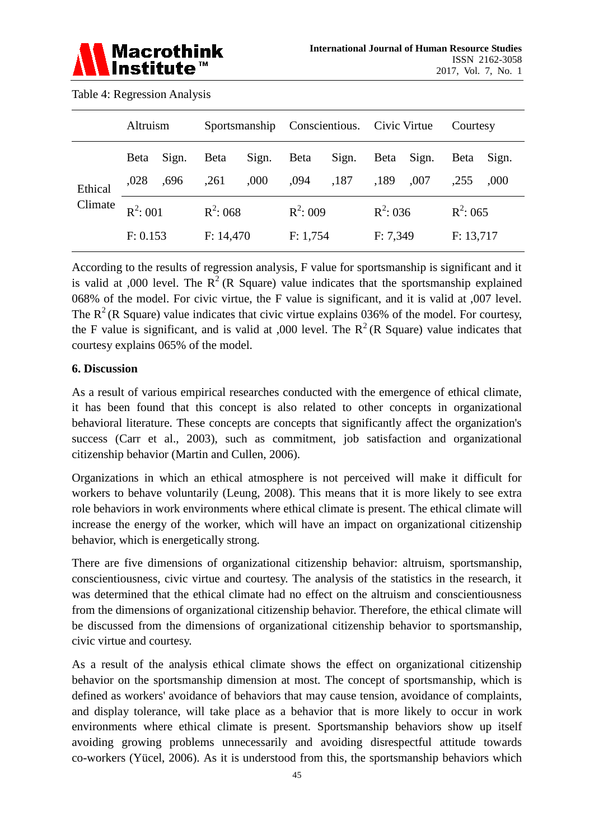

|                    | Altruism                |               |                          |               | Sportsmanship Conscientious. Civic Virtue |               |                         |               | Courtesy                 |               |
|--------------------|-------------------------|---------------|--------------------------|---------------|-------------------------------------------|---------------|-------------------------|---------------|--------------------------|---------------|
| Ethical<br>Climate | <b>B</b> eta<br>,028    | Sign.<br>,696 | <b>Beta</b><br>,261      | Sign.<br>,000 | <b>Beta</b><br>,094                       | Sign.<br>,187 | <b>Beta</b><br>,189     | Sign.<br>,007 | Beta<br>,255             | Sign.<br>,000 |
|                    | $R^2$ : 001<br>F: 0.153 |               | $R^2$ : 068<br>F: 14,470 |               | $R^2$ : 009<br>F: 1,754                   |               | $R^2$ : 036<br>F: 7,349 |               | $R^2$ : 065<br>F: 13,717 |               |

Table 4: Regression Analysis

According to the results of regression analysis, F value for sportsmanship is significant and it is valid at ,000 level. The  $R^2(R)$  Square) value indicates that the sportsmanship explained 068% of the model. For civic virtue, the F value is significant, and it is valid at ,007 level. The  $R^2(R)$  Square) value indicates that civic virtue explains 036% of the model. For courtesy, the F value is significant, and is valid at ,000 level. The  $R^2(R)$  Square) value indicates that courtesy explains 065% of the model.

#### **6. Discussion**

As a result of various empirical researches conducted with the emergence of ethical climate, it has been found that this concept is also related to other concepts in organizational behavioral literature. These concepts are concepts that significantly affect the organization's success (Carr et al., 2003), such as commitment, job satisfaction and organizational citizenship behavior (Martin and Cullen, 2006).

Organizations in which an ethical atmosphere is not perceived will make it difficult for workers to behave voluntarily (Leung, 2008). This means that it is more likely to see extra role behaviors in work environments where ethical climate is present. The ethical climate will increase the energy of the worker, which will have an impact on organizational citizenship behavior, which is energetically strong.

There are five dimensions of organizational citizenship behavior: altruism, sportsmanship, conscientiousness, civic virtue and courtesy. The analysis of the statistics in the research, it was determined that the ethical climate had no effect on the altruism and conscientiousness from the dimensions of organizational citizenship behavior. Therefore, the ethical climate will be discussed from the dimensions of organizational citizenship behavior to sportsmanship, civic virtue and courtesy.

As a result of the analysis ethical climate shows the effect on organizational citizenship behavior on the sportsmanship dimension at most. The concept of sportsmanship, which is defined as workers' avoidance of behaviors that may cause tension, avoidance of complaints, and display tolerance, will take place as a behavior that is more likely to occur in work environments where ethical climate is present. Sportsmanship behaviors show up itself avoiding growing problems unnecessarily and avoiding disrespectful attitude towards co-workers (Yücel, 2006). As it is understood from this, the sportsmanship behaviors which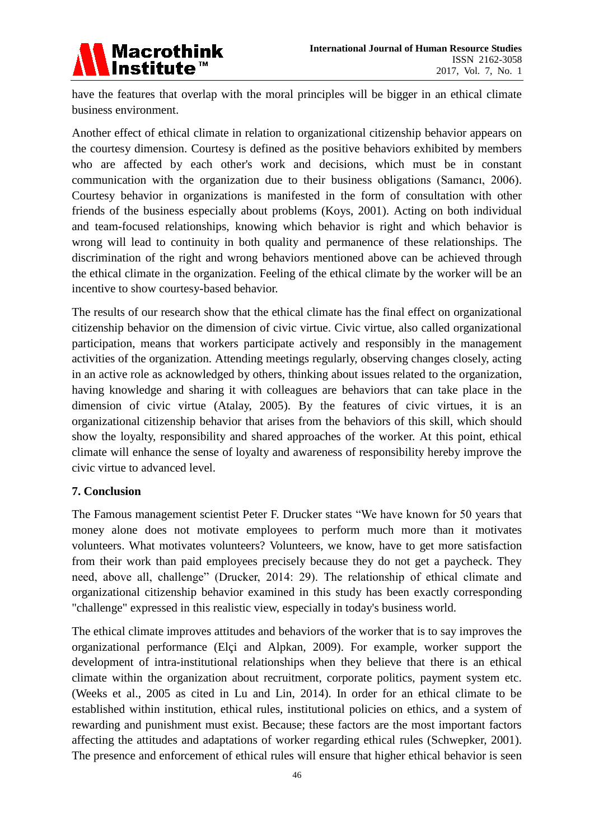

have the features that overlap with the moral principles will be bigger in an ethical climate business environment.

Another effect of ethical climate in relation to organizational citizenship behavior appears on the courtesy dimension. Courtesy is defined as the positive behaviors exhibited by members who are affected by each other's work and decisions, which must be in constant communication with the organization due to their business obligations (Samancı, 2006). Courtesy behavior in organizations is manifested in the form of consultation with other friends of the business especially about problems (Koys, 2001). Acting on both individual and team-focused relationships, knowing which behavior is right and which behavior is wrong will lead to continuity in both quality and permanence of these relationships. The discrimination of the right and wrong behaviors mentioned above can be achieved through the ethical climate in the organization. Feeling of the ethical climate by the worker will be an incentive to show courtesy-based behavior.

The results of our research show that the ethical climate has the final effect on organizational citizenship behavior on the dimension of civic virtue. Civic virtue, also called organizational participation, means that workers participate actively and responsibly in the management activities of the organization. Attending meetings regularly, observing changes closely, acting in an active role as acknowledged by others, thinking about issues related to the organization, having knowledge and sharing it with colleagues are behaviors that can take place in the dimension of civic virtue (Atalay, 2005). By the features of civic virtues, it is an organizational citizenship behavior that arises from the behaviors of this skill, which should show the loyalty, responsibility and shared approaches of the worker. At this point, ethical climate will enhance the sense of loyalty and awareness of responsibility hereby improve the civic virtue to advanced level.

## **7. Conclusion**

The Famous management scientist Peter F. Drucker states "We have known for 50 years that money alone does not motivate employees to perform much more than it motivates volunteers. What motivates volunteers? Volunteers, we know, have to get more satisfaction from their work than paid employees precisely because they do not get a paycheck. They need, above all, challenge" (Drucker, 2014: 29). The relationship of ethical climate and organizational citizenship behavior examined in this study has been exactly corresponding "challenge" expressed in this realistic view, especially in today's business world.

The ethical climate improves attitudes and behaviors of the worker that is to say improves the organizational performance (Elçi and Alpkan, 2009). For example, worker support the development of intra-institutional relationships when they believe that there is an ethical climate within the organization about recruitment, corporate politics, payment system etc. (Weeks et al., 2005 as cited in Lu and Lin, 2014). In order for an ethical climate to be established within institution, ethical rules, institutional policies on ethics, and a system of rewarding and punishment must exist. Because; these factors are the most important factors affecting the attitudes and adaptations of worker regarding ethical rules (Schwepker, 2001). The presence and enforcement of ethical rules will ensure that higher ethical behavior is seen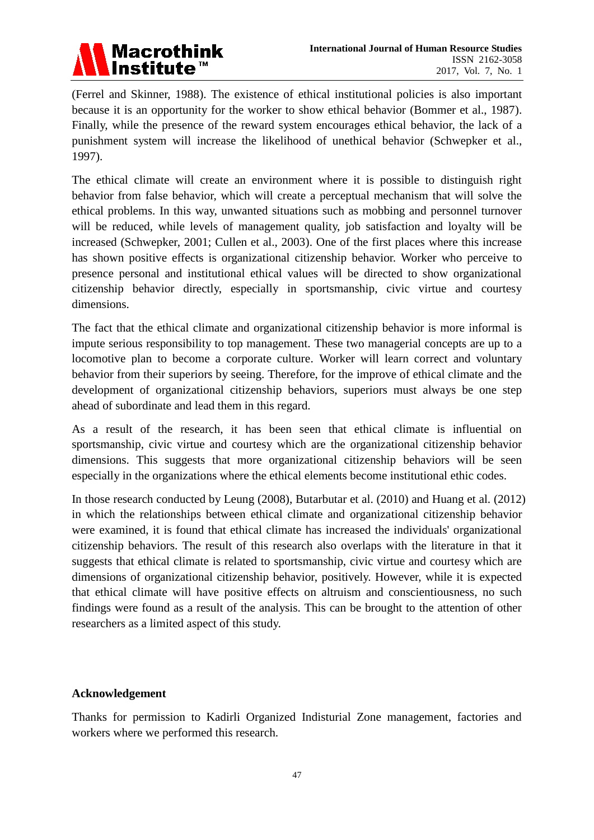

(Ferrel and Skinner, 1988). The existence of ethical institutional policies is also important because it is an opportunity for the worker to show ethical behavior (Bommer et al., 1987). Finally, while the presence of the reward system encourages ethical behavior, the lack of a punishment system will increase the likelihood of unethical behavior (Schwepker et al., 1997).

The ethical climate will create an environment where it is possible to distinguish right behavior from false behavior, which will create a perceptual mechanism that will solve the ethical problems. In this way, unwanted situations such as mobbing and personnel turnover will be reduced, while levels of management quality, job satisfaction and loyalty will be increased (Schwepker, 2001; Cullen et al., 2003). One of the first places where this increase has shown positive effects is organizational citizenship behavior. Worker who perceive to presence personal and institutional ethical values will be directed to show organizational citizenship behavior directly, especially in sportsmanship, civic virtue and courtesy dimensions.

The fact that the ethical climate and organizational citizenship behavior is more informal is impute serious responsibility to top management. These two managerial concepts are up to a locomotive plan to become a corporate culture. Worker will learn correct and voluntary behavior from their superiors by seeing. Therefore, for the improve of ethical climate and the development of organizational citizenship behaviors, superiors must always be one step ahead of subordinate and lead them in this regard.

As a result of the research, it has been seen that ethical climate is influential on sportsmanship, civic virtue and courtesy which are the organizational citizenship behavior dimensions. This suggests that more organizational citizenship behaviors will be seen especially in the organizations where the ethical elements become institutional ethic codes.

In those research conducted by Leung (2008), Butarbutar et al. (2010) and Huang et al. (2012) in which the relationships between ethical climate and organizational citizenship behavior were examined, it is found that ethical climate has increased the individuals' organizational citizenship behaviors. The result of this research also overlaps with the literature in that it suggests that ethical climate is related to sportsmanship, civic virtue and courtesy which are dimensions of organizational citizenship behavior, positively. However, while it is expected that ethical climate will have positive effects on altruism and conscientiousness, no such findings were found as a result of the analysis. This can be brought to the attention of other researchers as a limited aspect of this study.

#### **Acknowledgement**

Thanks for permission to Kadirli Organized Indisturial Zone management, factories and workers where we performed this research.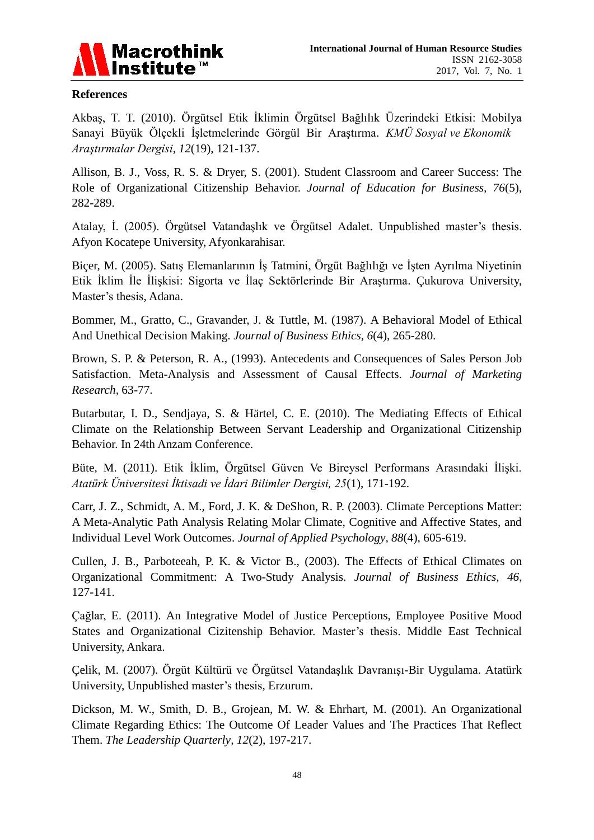

#### **References**

Akbaş, T. T. (2010). Örgütsel Etik İklimin Örgütsel Bağlılık Üzerindeki Etkisi: Mobilya Sanayi Büyük Ölçekli İşletmelerinde Görgül Bir Araştırma. *KMÜ Sosyal ve Ekonomi̇k Araştirmalar Dergi̇si, 12*(19), 121-137.

Allison, B. J., Voss, R. S. & Dryer, S. (2001). Student Classroom and Career Success: The Role of Organizational Citizenship Behavior. *Journal of Education for Business, 76*(5), 282-289.

Atalay, İ. (2005). Örgütsel Vatandaşlık ve Örgütsel Adalet. Unpublished master's thesis. Afyon Kocatepe University, Afyonkarahisar.

Biçer, M. (2005). Satış Elemanlarının İş Tatmini, Örgüt Bağlılığı ve İşten Ayrılma Niyetinin Etik İklim İle İlişkisi: Sigorta ve İlaç Sektörlerinde Bir Araştırma. Çukurova University, Master's thesis, Adana.

Bommer, M., Gratto, C., Gravander, J. & Tuttle, M. (1987). A Behavioral Model of Ethical And Unethical Decision Making. *Journal of Business Ethics, 6*(4), 265-280.

Brown, S. P. & Peterson, R. A., (1993). Antecedents and Consequences of Sales Person Job Satisfaction. Meta-Analysis and Assessment of Causal Effects. *Journal of Marketing Research,* 63-77.

Butarbutar, I. D., Sendjaya, S. & Härtel, C. E. (2010). The Mediating Effects of Ethical Climate on the Relationship Between Servant Leadership and Organizational Citizenship Behavior. In 24th Anzam Conference.

Büte, M. (2011). Etik İklim, Örgütsel Güven Ve Bireysel Performans Arasındaki İlişki. *Atatürk Üniversitesi İktisadi ve İdari Bilimler Dergisi, 25*(1), 171-192.

Carr, J. Z., Schmidt, A. M., Ford, J. K. & DeShon, R. P. (2003). Climate Perceptions Matter: A Meta-Analytic Path Analysis Relating Molar Climate, Cognitive and Affective States, and Individual Level Work Outcomes. *Journal of Applied Psychology, 88*(4), 605-619.

Cullen, J. B., Parboteeah, P. K. & Victor B., (2003). The Effects of Ethical Climates on Organizational Commitment: A Two-Study Analysis. *Journal of Business Ethics, 46*, 127-141.

Çağlar, E. (2011). An Integrative Model of Justice Perceptions, Employee Positive Mood States and Organizational Cizitenship Behavior. Master's thesis. Middle East Technical University, Ankara.

Çelik, M. (2007). Örgüt Kültürü ve Örgütsel Vatandaşlık Davranışı-Bir Uygulama. Atatürk University, Unpublished master's thesis, Erzurum.

Dickson, M. W., Smith, D. B., Grojean, M. W. & Ehrhart, M. (2001). An Organizational Climate Regarding Ethics: The Outcome Of Leader Values and The Practices That Reflect Them. *The Leadership Quarterly, 12*(2), 197-217.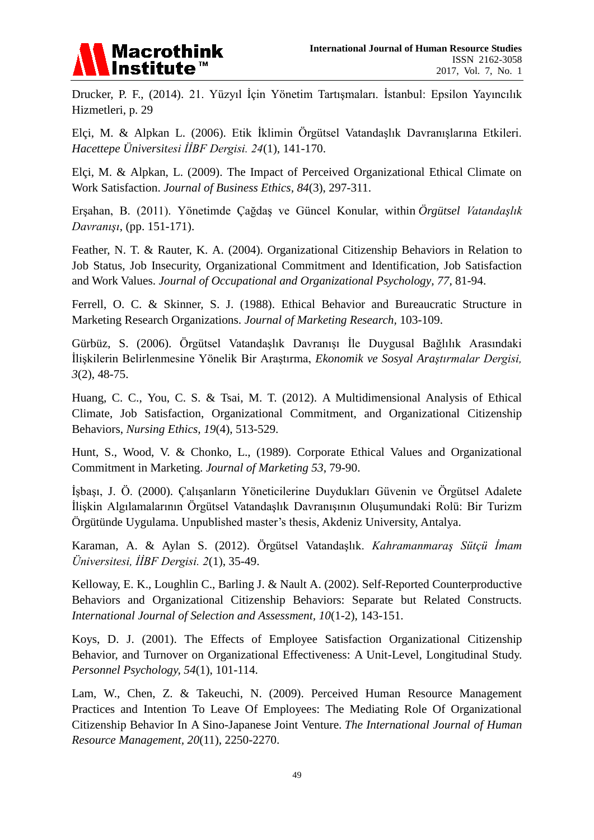

Drucker, P. F., (2014). 21. Yüzyıl İçin Yönetim Tartışmaları. İstanbul: Epsilon Yayıncılık Hizmetleri, p. 29

Elçi, M. & Alpkan L. (2006). Etik İklimin Örgütsel Vatandaşlık Davranışlarına Etkileri. *Hacettepe Üniversitesi İİBF Dergisi. 24*(1), 141-170.

Elçi, M. & Alpkan, L. (2009). The Impact of Perceived Organizational Ethical Climate on Work Satisfaction. *Journal of Business Ethics, 84*(3), 297-311.

Erşahan, B. (2011). Yönetimde Çağdaş ve Güncel Konular, within *Örgütsel Vatandaşlik Davranişi*, (pp. 151-171).

Feather, N. T. & Rauter, K. A. (2004). Organizational Citizenship Behaviors in Relation to Job Status, Job Insecurity, Organizational Commitment and Identification, Job Satisfaction and Work Values. *Journal of Occupational and Organizational Psychology, 77,* 81-94.

Ferrell, O. C. & Skinner, S. J. (1988). Ethical Behavior and Bureaucratic Structure in Marketing Research Organizations. *Journal of Marketing Research,* 103-109.

Gürbüz, S. (2006). Örgütsel Vatandaşlık Davranışı İle Duygusal Bağlılık Arasındaki İlişkilerin Belirlenmesine Yönelik Bir Araştırma, *Ekonomik ve Sosyal Araştirmalar Dergisi, 3*(2), 48-75.

Huang, C. C., You, C. S. & Tsai, M. T. (2012). A Multidimensional Analysis of Ethical Climate, Job Satisfaction, Organizational Commitment, and Organizational Citizenship Behaviors, *Nursing Ethics, 19*(4), 513-529.

Hunt, S., Wood, V. & Chonko, L., (1989). Corporate Ethical Values and Organizational Commitment in Marketing. *Journal of Marketing 53*, 79-90.

İşbaşı, J. Ö. (2000). Çalışanların Yöneticilerine Duydukları Güvenin ve Örgütsel Adalete İlişkin Algılamalarının Örgütsel Vatandaşlık Davranışının Oluşumundaki Rolü: Bir Turizm Örgütünde Uygulama. Unpublished master's thesis, Akdeniz University, Antalya.

Karaman, A. & Aylan S. (2012). Örgütsel Vatandaşlık. *Kahramanmaraş Sütçü İmam Üniversitesi, İİBF Dergisi. 2*(1), 35-49.

Kelloway, E. K., Loughlin C., Barling J. & Nault A. (2002). Self-Reported Counterproductive Behaviors and Organizational Citizenship Behaviors: Separate but Related Constructs. *International Journal of Selection and Assessment, 10*(1-2), 143-151.

Koys, D. J. (2001). The Effects of Employee Satisfaction Organizational Citizenship Behavior, and Turnover on Organizational Effectiveness: A Unit-Level, Longitudinal Study. *Personnel Psychology, 54*(1), 101-114.

Lam, W., Chen, Z. & Takeuchi, N. (2009). Perceived Human Resource Management Practices and Intention To Leave Of Employees: The Mediating Role Of Organizational Citizenship Behavior In A Sino-Japanese Joint Venture. *The International Journal of Human Resource Management, 20*(11), 2250-2270.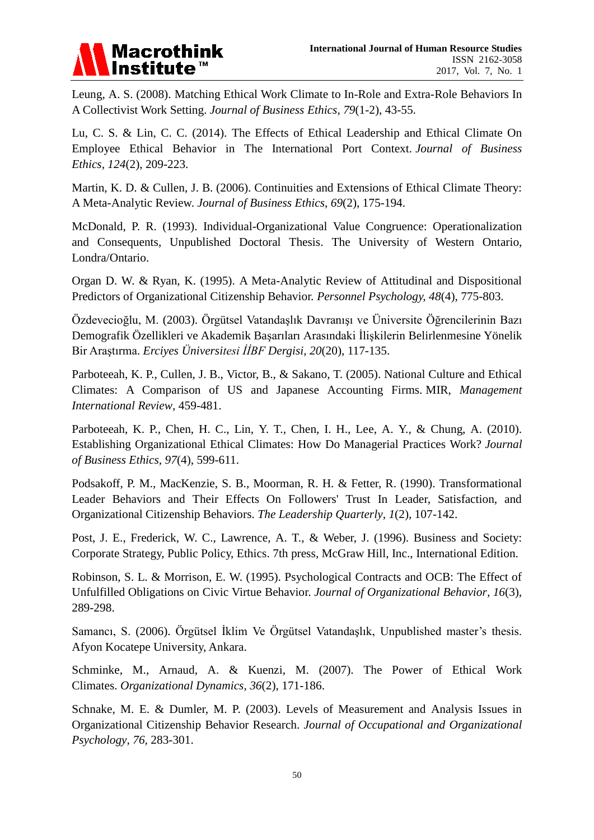

Leung, A. S. (2008). Matching Ethical Work Climate to In-Role and Extra-Role Behaviors In A Collectivist Work Setting. *Journal of Business Ethics, 79*(1-2), 43-55.

Lu, C. S. & Lin, C. C. (2014). The Effects of Ethical Leadership and Ethical Climate On Employee Ethical Behavior in The International Port Context. *Journal of Business Ethics, 124*(2), 209-223.

Martin, K. D. & Cullen, J. B. (2006). Continuities and Extensions of Ethical Climate Theory: A Meta-Analytic Review. *Journal of Business Ethics, 69*(2), 175-194.

McDonald, P. R. (1993). Individual-Organizational Value Congruence: Operationalization and Consequents, Unpublished Doctoral Thesis. The University of Western Ontario, Londra/Ontario.

Organ D. W. & Ryan, K. (1995). A Meta-Analytic Review of Attitudinal and Dispositional Predictors of Organizational Citizenship Behavior. *Personnel Psychology, 48*(4), 775-803.

Özdevecioğlu, M. (2003). Örgütsel Vatandaşlık Davranışı ve Üniversite Öğrencilerinin Bazı Demografik Özellikleri ve Akademik Başarıları Arasındaki İlişkilerin Belirlenmesine Yönelik Bir Araştırma. *Erciyes Üniversitesi İİBF Dergisi, 20*(20), 117-135.

Parboteeah, K. P., Cullen, J. B., Victor, B., & Sakano, T. (2005). National Culture and Ethical Climates: A Comparison of US and Japanese Accounting Firms. MIR, *Management International Review,* 459-481.

Parboteeah, K. P., Chen, H. C., Lin, Y. T., Chen, I. H., Lee, A. Y., & Chung, A. (2010). Establishing Organizational Ethical Climates: How Do Managerial Practices Work? *Journal of Business Ethics, 97*(4), 599-611.

Podsakoff, P. M., MacKenzie, S. B., Moorman, R. H. & Fetter, R. (1990). Transformational Leader Behaviors and Their Effects On Followers' Trust In Leader, Satisfaction, and Organizational Citizenship Behaviors. *The Leadership Quarterly, 1*(2), 107-142.

Post, J. E., Frederick, W. C., Lawrence, A. T., & Weber, J. (1996). Business and Society: Corporate Strategy, Public Policy, Ethics. 7th press, McGraw Hill, Inc., International Edition.

Robinson, S. L. & Morrison, E. W. (1995). Psychological Contracts and OCB: The Effect of Unfulfilled Obligations on Civic Virtue Behavior. *Journal of Organizational Behavior, 16*(3), 289-298.

Samancı, S. (2006). Örgütsel İklim Ve Örgütsel Vatandaşlık, Unpublished master's thesis. Afyon Kocatepe University, Ankara.

Schminke, M., Arnaud, A. & Kuenzi, M. (2007). The Power of Ethical Work Climates. *Organizational Dynamics, 36*(2), 171-186.

Schnake, M. E. & Dumler, M. P. (2003). Levels of Measurement and Analysis Issues in Organizational Citizenship Behavior Research. *Journal of Occupational and Organizational Psychology, 76,* 283-301.